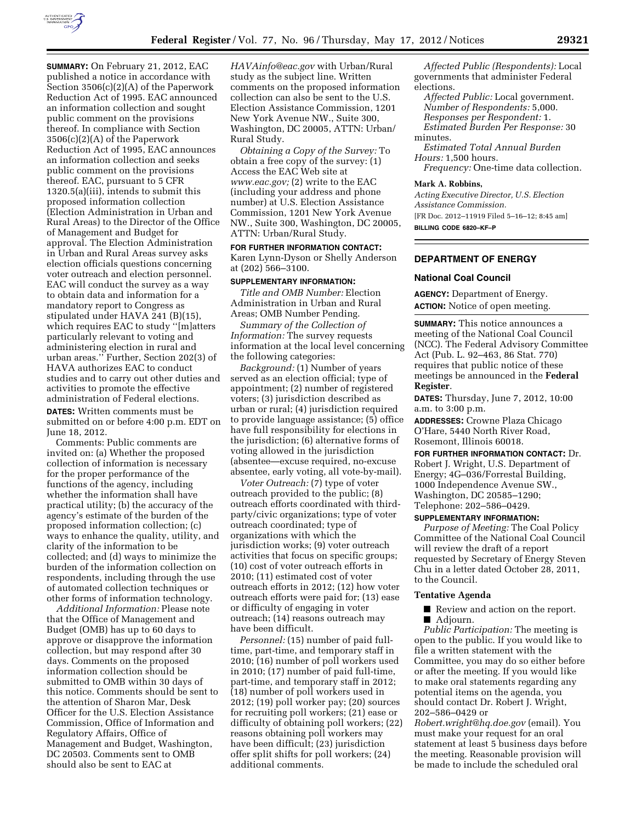

**SUMMARY:** On February 21, 2012, EAC published a notice in accordance with Section 3506(c)(2)(A) of the Paperwork Reduction Act of 1995. EAC announced an information collection and sought public comment on the provisions thereof. In compliance with Section 3506(c)(2)(A) of the Paperwork Reduction Act of 1995, EAC announces an information collection and seeks public comment on the provisions thereof. EAC, pursuant to 5 CFR 1320.5(a)(iii), intends to submit this proposed information collection (Election Administration in Urban and Rural Areas) to the Director of the Office of Management and Budget for approval. The Election Administration in Urban and Rural Areas survey asks election officials questions concerning voter outreach and election personnel. EAC will conduct the survey as a way to obtain data and information for a mandatory report to Congress as stipulated under HAVA 241 (B)(15), which requires EAC to study ''[m]atters particularly relevant to voting and administering election in rural and urban areas.'' Further, Section 202(3) of HAVA authorizes EAC to conduct studies and to carry out other duties and activities to promote the effective administration of Federal elections. **DATES:** Written comments must be

submitted on or before 4:00 p.m. EDT on June 18, 2012.

Comments: Public comments are invited on: (a) Whether the proposed collection of information is necessary for the proper performance of the functions of the agency, including whether the information shall have practical utility; (b) the accuracy of the agency's estimate of the burden of the proposed information collection; (c) ways to enhance the quality, utility, and clarity of the information to be collected; and (d) ways to minimize the burden of the information collection on respondents, including through the use of automated collection techniques or other forms of information technology.

*Additional Information:* Please note that the Office of Management and Budget (OMB) has up to 60 days to approve or disapprove the information collection, but may respond after 30 days. Comments on the proposed information collection should be submitted to OMB within 30 days of this notice. Comments should be sent to the attention of Sharon Mar, Desk Officer for the U.S. Election Assistance Commission, Office of Information and Regulatory Affairs, Office of Management and Budget, Washington, DC 20503. Comments sent to OMB should also be sent to EAC at

*[HAVAinfo@eac.gov](mailto:HAVAinfo@eac.gov)* with Urban/Rural study as the subject line. Written comments on the proposed information collection can also be sent to the U.S. Election Assistance Commission, 1201 New York Avenue NW., Suite 300, Washington, DC 20005, ATTN: Urban/ Rural Study.

*Obtaining a Copy of the Survey:* To obtain a free copy of the survey: (1) Access the EAC Web site at *[www.eac.gov;](http://www.eac.gov)* (2) write to the EAC (including your address and phone number) at U.S. Election Assistance Commission, 1201 New York Avenue NW., Suite 300, Washington, DC 20005, ATTN: Urban/Rural Study.

**FOR FURTHER INFORMATION CONTACT:**  Karen Lynn-Dyson or Shelly Anderson at (202) 566–3100.

### **SUPPLEMENTARY INFORMATION:**

*Title and OMB Number:* Election Administration in Urban and Rural Areas; OMB Number Pending.

*Summary of the Collection of Information:* The survey requests information at the local level concerning the following categories:

*Background:* (1) Number of years served as an election official; type of appointment; (2) number of registered voters; (3) jurisdiction described as urban or rural; (4) jurisdiction required to provide language assistance; (5) office have full responsibility for elections in the jurisdiction; (6) alternative forms of voting allowed in the jurisdiction (absentee—excuse required, no-excuse absentee, early voting, all vote-by-mail).

*Voter Outreach:* (7) type of voter outreach provided to the public; (8) outreach efforts coordinated with thirdparty/civic organizations; type of voter outreach coordinated; type of organizations with which the jurisdiction works; (9) voter outreach activities that focus on specific groups; (10) cost of voter outreach efforts in 2010; (11) estimated cost of voter outreach efforts in 2012; (12) how voter outreach efforts were paid for; (13) ease or difficulty of engaging in voter outreach; (14) reasons outreach may have been difficult.

*Personnel:* (15) number of paid fulltime, part-time, and temporary staff in 2010; (16) number of poll workers used in 2010; (17) number of paid full-time, part-time, and temporary staff in 2012; (18) number of poll workers used in 2012; (19) poll worker pay; (20) sources for recruiting poll workers; (21) ease or difficulty of obtaining poll workers; (22) reasons obtaining poll workers may have been difficult; (23) jurisdiction offer split shifts for poll workers; (24) additional comments.

*Affected Public (Respondents):* Local governments that administer Federal elections.

*Affected Public:* Local government. *Number of Respondents:* 5,000. *Responses per Respondent:* 1. *Estimated Burden Per Response:* 30 minutes.

*Estimated Total Annual Burden Hours:* 1,500 hours.

*Frequency:* One-time data collection.

### **Mark A. Robbins,**

*Acting Executive Director, U.S. Election Assistance Commission.* 

[FR Doc. 2012–11919 Filed 5–16–12; 8:45 am] **BILLING CODE 6820–KF–P** 

### **DEPARTMENT OF ENERGY**

### **National Coal Council**

**AGENCY:** Department of Energy. **ACTION:** Notice of open meeting.

**SUMMARY:** This notice announces a meeting of the National Coal Council (NCC). The Federal Advisory Committee Act (Pub. L. 92–463, 86 Stat. 770) requires that public notice of these meetings be announced in the **Federal Register**.

**DATES:** Thursday, June 7, 2012, 10:00 a.m. to 3:00 p.m.

**ADDRESSES:** Crowne Plaza Chicago O'Hare, 5440 North River Road, Rosemont, Illinois 60018.

**FOR FURTHER INFORMATION CONTACT:** Dr. Robert J. Wright, U.S. Department of Energy; 4G–036/Forrestal Building, 1000 Independence Avenue SW., Washington, DC 20585–1290; Telephone: 202–586–0429.

### **SUPPLEMENTARY INFORMATION:**

*Purpose of Meeting:* The Coal Policy Committee of the National Coal Council will review the draft of a report requested by Secretary of Energy Steven Chu in a letter dated October 28, 2011, to the Council.

### **Tentative Agenda**

■ Review and action on the report. ■ Adjourn.

*Public Participation:* The meeting is open to the public. If you would like to file a written statement with the Committee, you may do so either before or after the meeting. If you would like to make oral statements regarding any potential items on the agenda, you should contact Dr. Robert J. Wright, 202–586–0429 or

*[Robert.wright@hq.doe.gov](mailto:Robert.wright@hq.doe.gov)* (email). You must make your request for an oral statement at least 5 business days before the meeting. Reasonable provision will be made to include the scheduled oral